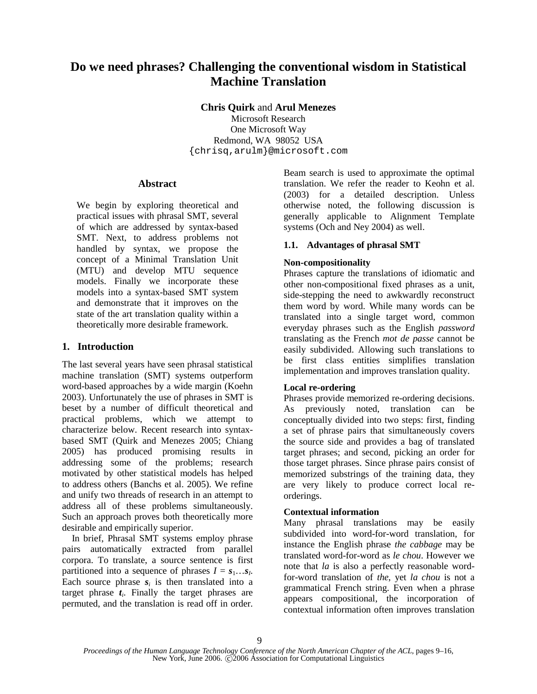# **Do we need phrases? Challenging the conventional wisdom in Statistical Machine Translation**

**Chris Quirk** and **Arul Menezes** 

Microsoft Research One Microsoft Way Redmond, WA 98052 USA {chrisq,arulm}@microsoft.com

#### **Abstract**

We begin by exploring theoretical and practical issues with phrasal SMT, several of which are addressed by syntax-based SMT. Next, to address problems not handled by syntax, we propose the concept of a Minimal Translation Unit (MTU) and develop MTU sequence models. Finally we incorporate these models into a syntax-based SMT system and demonstrate that it improves on the state of the art translation quality within a theoretically more desirable framework.

# **1. Introduction**

The last several years have seen phrasal statistical machine translation (SMT) systems outperform word-based approaches by a wide margin (Koehn 2003). Unfortunately the use of phrases in SMT is beset by a number of difficult theoretical and practical problems, which we attempt to characterize below. Recent research into syntaxbased SMT (Quirk and Menezes 2005; Chiang 2005) has produced promising results in addressing some of the problems; research motivated by other statistical models has helped to address others (Banchs et al. 2005). We refine and unify two threads of research in an attempt to address all of these problems simultaneously. Such an approach proves both theoretically more desirable and empirically superior.

In brief, Phrasal SMT systems employ phrase pairs automatically extracted from parallel corpora. To translate, a source sentence is first partitioned into a sequence of phrases  $I = s_1...s_I$ . Each source phrase  $s_i$  is then translated into a target phrase  $t_i$ . Finally the target phrases are permuted, and the translation is read off in order.

Beam search is used to approximate the optimal translation. We refer the reader to Keohn et al. (2003) for a detailed description. Unless otherwise noted, the following discussion is generally applicable to Alignment Template systems (Och and Ney 2004) as well.

# **1.1. Advantages of phrasal SMT**

# **Non-compositionality**

Phrases capture the translations of idiomatic and other non-compositional fixed phrases as a unit, side-stepping the need to awkwardly reconstruct them word by word. While many words can be translated into a single target word, common everyday phrases such as the English *password* translating as the French *mot de passe* cannot be easily subdivided. Allowing such translations to be first class entities simplifies translation implementation and improves translation quality.

# **Local re-ordering**

Phrases provide memorized re-ordering decisions. As previously noted, translation can be conceptually divided into two steps: first, finding a set of phrase pairs that simultaneously covers the source side and provides a bag of translated target phrases; and second, picking an order for those target phrases. Since phrase pairs consist of memorized substrings of the training data, they are very likely to produce correct local reorderings.

# **Contextual information**

Many phrasal translations may be easily subdivided into word-for-word translation, for instance the English phrase *the cabbage* may be translated word-for-word as *le chou*. However we note that *la* is also a perfectly reasonable wordfor-word translation of *the*, yet *la chou* is not a grammatical French string. Even when a phrase appears compositional, the incorporation of contextual information often improves translation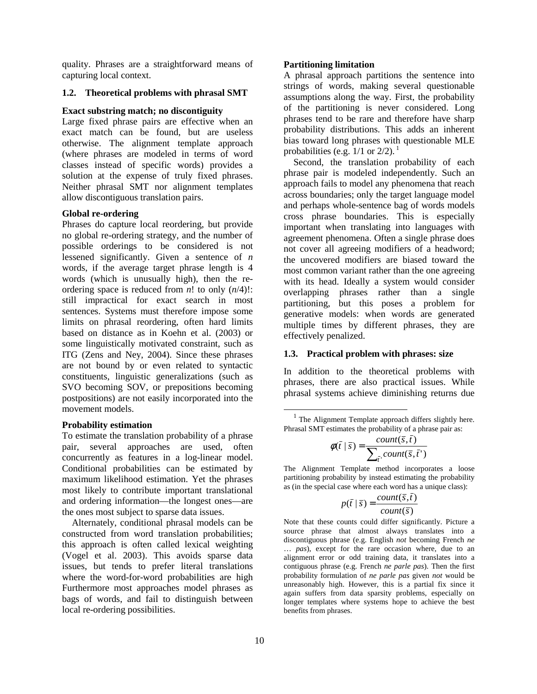quality. Phrases are a straightforward means of capturing local context.

#### **1.2. Theoretical problems with phrasal SMT**

#### **Exact substring match; no discontiguity**

Large fixed phrase pairs are effective when an exact match can be found, but are useless otherwise. The alignment template approach (where phrases are modeled in terms of word classes instead of specific words) provides a solution at the expense of truly fixed phrases. Neither phrasal SMT nor alignment templates allow discontiguous translation pairs.

#### **Global re-ordering**

Phrases do capture local reordering, but provide no global re-ordering strategy, and the number of possible orderings to be considered is not lessened significantly. Given a sentence of *n* words, if the average target phrase length is 4 words (which is unusually high), then the reordering space is reduced from  $n!$  to only  $(n/4)!$ : still impractical for exact search in most sentences. Systems must therefore impose some limits on phrasal reordering, often hard limits based on distance as in Koehn et al. (2003) or some linguistically motivated constraint, such as ITG (Zens and Ney, 2004). Since these phrases are not bound by or even related to syntactic constituents, linguistic generalizations (such as SVO becoming SOV, or prepositions becoming postpositions) are not easily incorporated into the movement models.

#### **Probability estimation**

To estimate the translation probability of a phrase pair, several approaches are used, often concurrently as features in a log-linear model. Conditional probabilities can be estimated by maximum likelihood estimation. Yet the phrases most likely to contribute important translational and ordering information—the longest ones—are the ones most subject to sparse data issues.

Alternately, conditional phrasal models can be constructed from word translation probabilities; this approach is often called lexical weighting (Vogel et al. 2003). This avoids sparse data issues, but tends to prefer literal translations where the word-for-word probabilities are high Furthermore most approaches model phrases as bags of words, and fail to distinguish between local re-ordering possibilities.

#### **Partitioning limitation**

A phrasal approach partitions the sentence into strings of words, making several questionable assumptions along the way. First, the probability of the partitioning is never considered. Long phrases tend to be rare and therefore have sharp probability distributions. This adds an inherent bias toward long phrases with questionable MLE probabilities (e.g.  $1/1$  or  $2/2$ ).<sup>1</sup>

Second, the translation probability of each phrase pair is modeled independently. Such an approach fails to model any phenomena that reach across boundaries; only the target language model and perhaps whole-sentence bag of words models cross phrase boundaries. This is especially important when translating into languages with agreement phenomena. Often a single phrase does not cover all agreeing modifiers of a headword; the uncovered modifiers are biased toward the most common variant rather than the one agreeing with its head. Ideally a system would consider overlapping phrases rather than a single partitioning, but this poses a problem for generative models: when words are generated multiple times by different phrases, they are effectively penalized.

#### **1.3. Practical problem with phrases: size**

In addition to the theoretical problems with phrases, there are also practical issues. While phrasal systems achieve diminishing returns due

<sup>1</sup> The Alignment Template approach differs slightly here. Phrasal SMT estimates the probability of a phrase pair as:

$$
\phi(\bar{t} \mid \bar{s}) = \frac{count(\bar{s}, \bar{t})}{\sum_{\bar{t}}, count(\bar{s}, \bar{t}^*)}
$$

The Alignment Template method incorporates a loose partitioning probability by instead estimating the probability as (in the special case where each word has a unique class):

$$
p(\bar{t} | \bar{s}) = \frac{count(\bar{s}, \bar{t})}{count(\bar{s})}
$$

Note that these counts could differ significantly. Picture a source phrase that almost always translates into a discontiguous phrase (e.g. English *not* becoming French *ne* … *pas*), except for the rare occasion where, due to an alignment error or odd training data, it translates into a contiguous phrase (e.g. French *ne parle pas*). Then the first probability formulation of *ne parle pas* given *not* would be unreasonably high. However, this is a partial fix since it again suffers from data sparsity problems, especially on longer templates where systems hope to achieve the best benefits from phrases.

 $\overline{a}$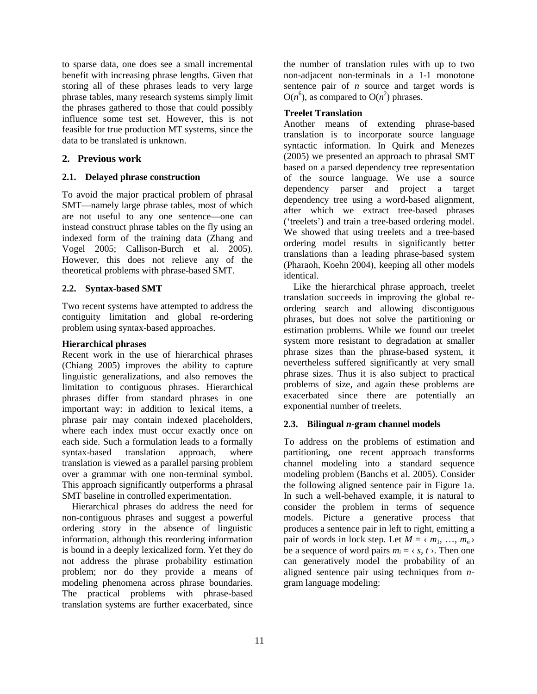to sparse data, one does see a small incremental benefit with increasing phrase lengths. Given that storing all of these phrases leads to very large phrase tables, many research systems simply limit the phrases gathered to those that could possibly influence some test set. However, this is not feasible for true production MT systems, since the data to be translated is unknown.

# **2. Previous work**

# **2.1. Delayed phrase construction**

To avoid the major practical problem of phrasal SMT—namely large phrase tables, most of which are not useful to any one sentence—one can instead construct phrase tables on the fly using an indexed form of the training data (Zhang and Vogel 2005; Callison-Burch et al. 2005). However, this does not relieve any of the theoretical problems with phrase-based SMT.

# **2.2. Syntax-based SMT**

Two recent systems have attempted to address the contiguity limitation and global re-ordering problem using syntax-based approaches.

### **Hierarchical phrases**

Recent work in the use of hierarchical phrases (Chiang 2005) improves the ability to capture linguistic generalizations, and also removes the limitation to contiguous phrases. Hierarchical phrases differ from standard phrases in one important way: in addition to lexical items, a phrase pair may contain indexed placeholders, where each index must occur exactly once on each side. Such a formulation leads to a formally syntax-based translation approach, where translation is viewed as a parallel parsing problem over a grammar with one non-terminal symbol. This approach significantly outperforms a phrasal SMT baseline in controlled experimentation.

Hierarchical phrases do address the need for non-contiguous phrases and suggest a powerful ordering story in the absence of linguistic information, although this reordering information is bound in a deeply lexicalized form. Yet they do not address the phrase probability estimation problem; nor do they provide a means of modeling phenomena across phrase boundaries. The practical problems with phrase-based translation systems are further exacerbated, since

the number of translation rules with up to two non-adjacent non-terminals in a 1-1 monotone sentence pair of *n* source and target words is  $O(n^6)$ , as compared to  $O(n^2)$  phrases.

### **Treelet Translation**

Another means of extending phrase-based translation is to incorporate source language syntactic information. In Quirk and Menezes (2005) we presented an approach to phrasal SMT based on a parsed dependency tree representation of the source language. We use a source dependency parser and project a target dependency tree using a word-based alignment, after which we extract tree-based phrases ('treelets') and train a tree-based ordering model. We showed that using treelets and a tree-based ordering model results in significantly better translations than a leading phrase-based system (Pharaoh, Koehn 2004), keeping all other models identical.

Like the hierarchical phrase approach, treelet translation succeeds in improving the global reordering search and allowing discontiguous phrases, but does not solve the partitioning or estimation problems. While we found our treelet system more resistant to degradation at smaller phrase sizes than the phrase-based system, it nevertheless suffered significantly at very small phrase sizes. Thus it is also subject to practical problems of size, and again these problems are exacerbated since there are potentially an exponential number of treelets.

# **2.3. Bilingual** *n***-gram channel models**

To address on the problems of estimation and partitioning, one recent approach transforms channel modeling into a standard sequence modeling problem (Banchs et al. 2005). Consider the following aligned sentence pair in Figure 1a. In such a well-behaved example, it is natural to consider the problem in terms of sequence models. Picture a generative process that produces a sentence pair in left to right, emitting a pair of words in lock step. Let  $M = \langle m_1, ..., m_n \rangle$ be a sequence of word pairs  $m_i = \langle s, t \rangle$ . Then one can generatively model the probability of an aligned sentence pair using techniques from *n*gram language modeling: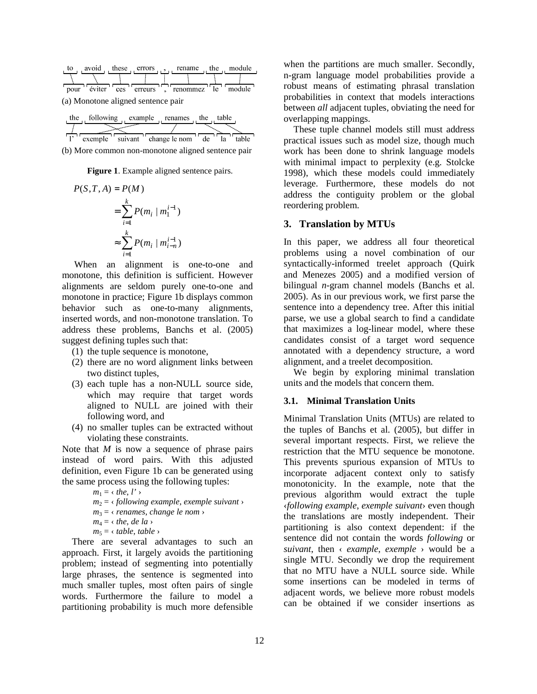| avoid<br>to                                  | these errors $\mathbf{r}$ , rename the |  | module |
|----------------------------------------------|----------------------------------------|--|--------|
|                                              |                                        |  |        |
| pour éviter ces erreurs , renommez le module |                                        |  |        |
| (a) Monotone aligned sentence pair           |                                        |  |        |

| following | example               | table       |
|-----------|-----------------------|-------------|
| the       | renames               | the         |
| exemple   | suivant change le nom | table<br>de |

(b) More common non-monotone aligned sentence pair

**Figure 1**. Example aligned sentence pairs.

$$
P(S, T, A) = P(M)
$$
  
=  $\sum_{i=1}^{k} P(m_i | m_1^{i-1})$   
 $\approx \sum_{i=1}^{k} P(m_i | m_{i-n}^{i-1})$ 

 When an alignment is one-to-one and monotone, this definition is sufficient. However alignments are seldom purely one-to-one and monotone in practice; Figure 1b displays common behavior such as one-to-many alignments, inserted words, and non-monotone translation. To address these problems, Banchs et al. (2005) suggest defining tuples such that:

- (1) the tuple sequence is monotone,
- (2) there are no word alignment links between two distinct tuples,
- (3) each tuple has a non-NULL source side, which may require that target words aligned to NULL are joined with their following word, and
- (4) no smaller tuples can be extracted without violating these constraints.

Note that *M* is now a sequence of phrase pairs instead of word pairs. With this adjusted definition, even Figure 1b can be generated using the same process using the following tuples:

$$
m_1 = \langle \text{ the, } l' \rangle
$$
\n
$$
m_2 = \langle \text{ following example, example suivant} \rangle
$$
\n
$$
m_3 = \langle \text{ renames, change le nom} \rangle
$$
\n
$$
m_4 = \langle \text{ the, de la } \rangle
$$
\n
$$
m_5 = \langle \text{ table, table } \rangle
$$

There are several advantages to such an approach. First, it largely avoids the partitioning problem; instead of segmenting into potentially large phrases, the sentence is segmented into much smaller tuples, most often pairs of single words. Furthermore the failure to model a partitioning probability is much more defensible

when the partitions are much smaller. Secondly, n-gram language model probabilities provide a robust means of estimating phrasal translation probabilities in context that models interactions between *all* adjacent tuples, obviating the need for overlapping mappings.

These tuple channel models still must address practical issues such as model size, though much work has been done to shrink language models with minimal impact to perplexity (e.g. Stolcke 1998), which these models could immediately leverage. Furthermore, these models do not address the contiguity problem or the global reordering problem.

#### **3. Translation by MTUs**

In this paper, we address all four theoretical problems using a novel combination of our syntactically-informed treelet approach (Quirk and Menezes 2005) and a modified version of bilingual *n*-gram channel models (Banchs et al. 2005). As in our previous work, we first parse the sentence into a dependency tree. After this initial parse, we use a global search to find a candidate that maximizes a log-linear model, where these candidates consist of a target word sequence annotated with a dependency structure, a word alignment, and a treelet decomposition.

We begin by exploring minimal translation units and the models that concern them.

# **3.1. Minimal Translation Units**

Minimal Translation Units (MTUs) are related to the tuples of Banchs et al. (2005), but differ in several important respects. First, we relieve the restriction that the MTU sequence be monotone. This prevents spurious expansion of MTUs to incorporate adjacent context only to satisfy monotonicity. In the example, note that the previous algorithm would extract the tuple ‹*following example*, *exemple suivant*› even though the translations are mostly independent. Their partitioning is also context dependent: if the sentence did not contain the words *following* or *suivant*, then ‹ *example*, *exemple* › would be a single MTU. Secondly we drop the requirement that no MTU have a NULL source side. While some insertions can be modeled in terms of adjacent words, we believe more robust models can be obtained if we consider insertions as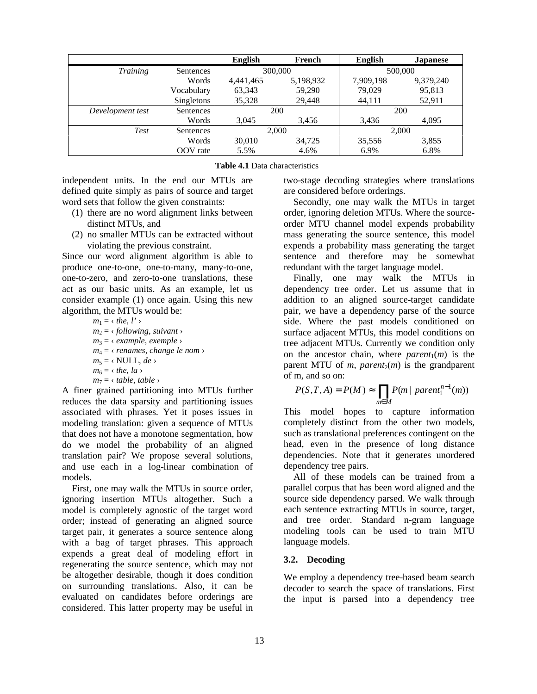|                  |            | <b>English</b> | French    | <b>English</b> | Japanese  |
|------------------|------------|----------------|-----------|----------------|-----------|
| Training         | Sentences  | 300,000        |           | 500,000        |           |
|                  | Words      | 4,441,465      | 5,198,932 | 7,909,198      | 9,379,240 |
|                  | Vocabulary | 63,343         | 59,290    | 79.029         | 95,813    |
|                  | Singletons | 35,328         | 29.448    | 44,111         | 52,911    |
| Development test | Sentences  | <b>200</b>     |           | 200            |           |
|                  | Words      | 3,045          | 3,456     | 3,436          | 4,095     |
| Test             | Sentences  | 2,000          |           | 2,000          |           |
|                  | Words      | 30,010         | 34,725    | 35,556         | 3,855     |
|                  | OOV rate   | 5.5%           | 4.6%      | 6.9%           | 6.8%      |

**Table 4.1** Data characteristics

independent units. In the end our MTUs are defined quite simply as pairs of source and target word sets that follow the given constraints:

- (1) there are no word alignment links between distinct MTUs, and
- (2) no smaller MTUs can be extracted without violating the previous constraint.

Since our word alignment algorithm is able to produce one-to-one, one-to-many, many-to-one, one-to-zero, and zero-to-one translations, these act as our basic units. As an example, let us consider example (1) once again. Using this new algorithm, the MTUs would be:

> $m_1 = \langle$  *the*, *l'*  $\rangle$  $m_2$  =  $\langle$  *following*, *suivant*  $\rangle$ *m*3 = ‹ *example*, *exemple* › *m*4 = ‹ *renames*, *change le nom* ›  $m_5 = \langle \text{NULL}, de \rangle$  $m_6 = \langle$  *the*, *la*  $\rangle$  $m_7 = \langle \textit{table}, \textit{table} \rangle$

A finer grained partitioning into MTUs further reduces the data sparsity and partitioning issues associated with phrases. Yet it poses issues in modeling translation: given a sequence of MTUs that does not have a monotone segmentation, how do we model the probability of an aligned translation pair? We propose several solutions, and use each in a log-linear combination of models.

First, one may walk the MTUs in source order, ignoring insertion MTUs altogether. Such a model is completely agnostic of the target word order; instead of generating an aligned source target pair, it generates a source sentence along with a bag of target phrases. This approach expends a great deal of modeling effort in regenerating the source sentence, which may not be altogether desirable, though it does condition on surrounding translations. Also, it can be evaluated on candidates before orderings are considered. This latter property may be useful in

two-stage decoding strategies where translations are considered before orderings.

Secondly, one may walk the MTUs in target order, ignoring deletion MTUs. Where the sourceorder MTU channel model expends probability mass generating the source sentence, this model expends a probability mass generating the target sentence and therefore may be somewhat redundant with the target language model.

Finally, one may walk the MTUs in dependency tree order. Let us assume that in addition to an aligned source-target candidate pair, we have a dependency parse of the source side. Where the past models conditioned on surface adjacent MTUs, this model conditions on tree adjacent MTUs. Currently we condition only on the ancestor chain, where  $parent_1(m)$  is the parent MTU of  $m$ , *parent*<sub>2</sub> $(m)$  is the grandparent of m, and so on:

$$
P(S,T,A) = P(M) \approx \prod_{m \in M} P(m \mid parent_1^{n-1}(m))
$$

This model hopes to capture information completely distinct from the other two models, such as translational preferences contingent on the head, even in the presence of long distance dependencies. Note that it generates unordered dependency tree pairs.

All of these models can be trained from a parallel corpus that has been word aligned and the source side dependency parsed. We walk through each sentence extracting MTUs in source, target, and tree order. Standard n-gram language modeling tools can be used to train MTU language models.

# **3.2. Decoding**

We employ a dependency tree-based beam search decoder to search the space of translations. First the input is parsed into a dependency tree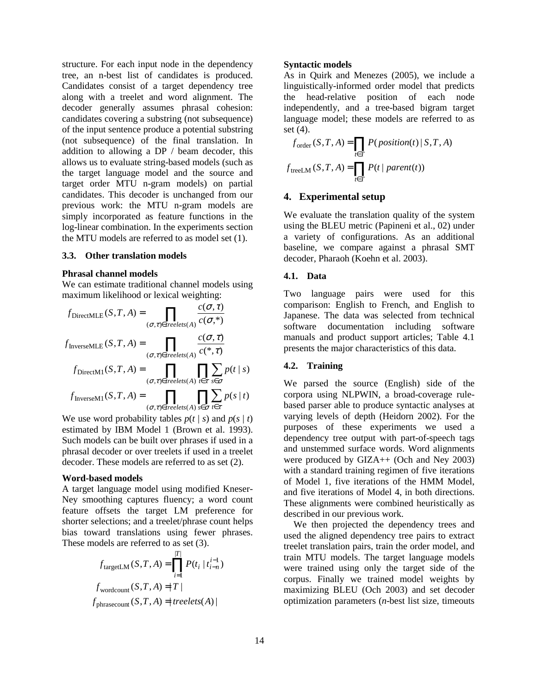structure. For each input node in the dependency tree, an n-best list of candidates is produced. Candidates consist of a target dependency tree along with a treelet and word alignment. The decoder generally assumes phrasal cohesion: candidates covering a substring (not subsequence) of the input sentence produce a potential substring (not subsequence) of the final translation. In addition to allowing a DP / beam decoder, this allows us to evaluate string-based models (such as the target language model and the source and target order MTU n-gram models) on partial candidates. This decoder is unchanged from our previous work: the MTU n-gram models are simply incorporated as feature functions in the log-linear combination. In the experiments section the MTU models are referred to as model set (1).

#### **3.3. Other translation models**

#### **Phrasal channel models**

We can estimate traditional channel models using maximum likelihood or lexical weighting:

$$
f_{\text{DirectMLE}}(S, T, A) = \prod_{(\sigma, \tau) \in treelets(A)} \frac{c(\sigma, \tau)}{c(\sigma, \tau)}
$$

$$
f_{\text{InverseMLE}}(S, T, A) = \prod_{(\sigma, \tau) \in treelets(A)} \frac{c(\sigma, \tau)}{c(\tau, \tau)}
$$

$$
f_{\text{DirectM1}}(S, T, A) = \prod_{(\sigma, \tau) \in treelets(A)} \prod_{t \in \tau} \sum_{s \in \sigma} p(t \mid s)
$$

$$
f_{\text{InverseM1}}(S, T, A) = \prod_{(\sigma, \tau) \in treelets(A)} \prod_{s \in \sigma} \sum_{t \in \tau} p(s \mid t)
$$

We use word probability tables  $p(t | s)$  and  $p(s | t)$ estimated by IBM Model 1 (Brown et al. 1993). Such models can be built over phrases if used in a phrasal decoder or over treelets if used in a treelet decoder. These models are referred to as set (2).

 $treelets(A)$   $s \in \sigma$  *t* 

 $\sigma, \tau \in \mathcal{I}$  reelets(A)  $s \in \sigma$  t $\in \tau$ 

#### **Word-based models**

A target language model using modified Kneser-Ney smoothing captures fluency; a word count feature offsets the target LM preference for shorter selections; and a treelet/phrase count helps bias toward translations using fewer phrases. These models are referred to as set (3).

$$
f_{\text{targetLM}}(S, T, A) = \prod_{i=1}^{|T|} P(t_i \mid t_{i-n}^{i-1})
$$

$$
f_{\text{wordcount}}(S, T, A) = |T|
$$

$$
f_{\text{phrasecount}}(S, T, A) = | \text{treelets}(A) |
$$

#### **Syntactic models**

As in Quirk and Menezes (2005), we include a linguistically-informed order model that predicts the head-relative position of each node independently, and a tree-based bigram target language model; these models are referred to as set  $(4)$ .

$$
f_{\text{order}}(S, T, A) = \prod_{t \in T} P(\text{position}(t) | S, T, A)
$$

$$
f_{\text{treeLM}}(S, T, A) = \prod_{t \in T} P(t | \text{parent}(t))
$$

### **4. Experimental setup**

We evaluate the translation quality of the system using the BLEU metric (Papineni et al., 02) under a variety of configurations. As an additional baseline, we compare against a phrasal SMT decoder, Pharaoh (Koehn et al. 2003).

#### **4.1. Data**

Two language pairs were used for this comparison: English to French, and English to Japanese. The data was selected from technical software documentation including software manuals and product support articles; Table 4.1 presents the major characteristics of this data.

# **4.2. Training**

We parsed the source (English) side of the corpora using NLPWIN, a broad-coverage rulebased parser able to produce syntactic analyses at varying levels of depth (Heidorn 2002). For the purposes of these experiments we used a dependency tree output with part-of-speech tags and unstemmed surface words. Word alignments were produced by GIZA++ (Och and Ney 2003) with a standard training regimen of five iterations of Model 1, five iterations of the HMM Model, and five iterations of Model 4, in both directions. These alignments were combined heuristically as described in our previous work.

We then projected the dependency trees and used the aligned dependency tree pairs to extract treelet translation pairs, train the order model, and train MTU models. The target language models were trained using only the target side of the corpus. Finally we trained model weights by maximizing BLEU (Och 2003) and set decoder optimization parameters (*n*-best list size, timeouts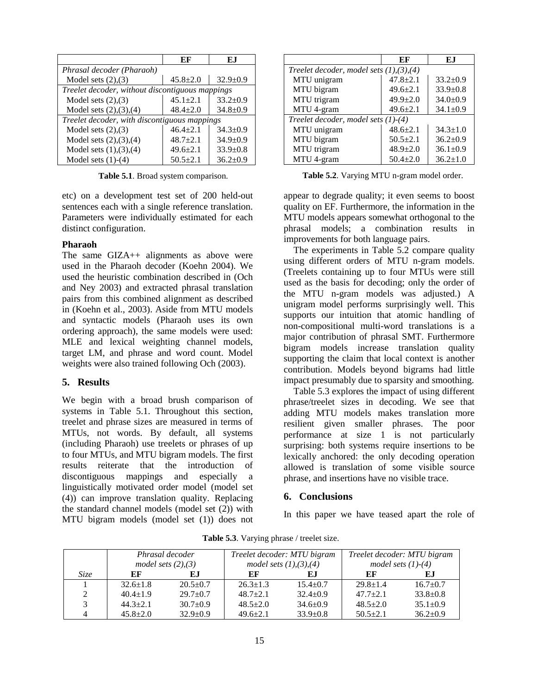|                                              | EF                                              | E.I            |  |  |
|----------------------------------------------|-------------------------------------------------|----------------|--|--|
| Phrasal decoder (Pharaoh)                    |                                                 |                |  |  |
| Model sets $(2),(3)$                         | $45.8 \pm 2.0$                                  | $32.9 \pm 0.9$ |  |  |
|                                              | Treelet decoder, without discontiguous mappings |                |  |  |
| Model sets $(2),(3)$                         | $45.1 \pm 2.1$                                  | $33.2 \pm 0.9$ |  |  |
| Model sets $(2), (3), (4)$                   | $48.4 \pm 2.0$                                  | $34.8 \pm 0.9$ |  |  |
| Treelet decoder, with discontiguous mappings |                                                 |                |  |  |
| Model sets $(2),(3)$                         | $46.4 + 2.1$                                    | $34.3 \pm 0.9$ |  |  |
| Model sets $(2), (3), (4)$                   | $48.7 \pm 2.1$                                  | $34.9 \pm 0.9$ |  |  |
| Model sets $(1), (3), (4)$                   | $49.6 \pm 2.1$                                  | $33.9 \pm 0.8$ |  |  |
| Model sets $(1)-(4)$                         | $50.5 \pm 2.1$                                  | $36.2 \pm 0.9$ |  |  |

**Table 5.1**. Broad system comparison.

etc) on a development test set of 200 held-out sentences each with a single reference translation. Parameters were individually estimated for each distinct configuration.

#### **Pharaoh**

The same GIZA++ alignments as above were used in the Pharaoh decoder (Koehn 2004). We used the heuristic combination described in (Och and Ney 2003) and extracted phrasal translation pairs from this combined alignment as described in (Koehn et al., 2003). Aside from MTU models and syntactic models (Pharaoh uses its own ordering approach), the same models were used: MLE and lexical weighting channel models, target LM, and phrase and word count. Model weights were also trained following Och (2003).

#### **5. Results**

We begin with a broad brush comparison of systems in Table 5.1. Throughout this section, treelet and phrase sizes are measured in terms of MTUs, not words. By default, all systems (including Pharaoh) use treelets or phrases of up to four MTUs, and MTU bigram models. The first results reiterate that the introduction of discontiguous mappings and especially a linguistically motivated order model (model set (4)) can improve translation quality. Replacing the standard channel models (model set (2)) with MTU bigram models (model set (1)) does not

|                                           | EF             | E.I            |  |  |
|-------------------------------------------|----------------|----------------|--|--|
| Treelet decoder, model sets $(1),(3),(4)$ |                |                |  |  |
| MTU unigram                               | $47.8 + 2.1$   | $33.2 + 0.9$   |  |  |
| MTU bigram                                | $49.6 \pm 2.1$ | $33.9 \pm 0.8$ |  |  |
| MTU trigram                               | $49.9 + 2.0$   | $34.0+0.9$     |  |  |
| MTU 4-gram                                | $49.6 \pm 2.1$ | $34.1 \pm 0.9$ |  |  |
| Treelet decoder, model sets (1)-(4)       |                |                |  |  |
| MTU unigram                               | $48.6 \pm 2.1$ | $34.3 \pm 1.0$ |  |  |
| MTU bigram                                | $50.5 \pm 2.1$ | $36.2 \pm 0.9$ |  |  |
| MTU trigram                               | $48.9 \pm 2.0$ | $36.1 \pm 0.9$ |  |  |
| MTU 4-gram                                | $50.4 \pm 2.0$ | $36.2 \pm 1.0$ |  |  |

**Table 5.2**. Varying MTU n-gram model order.

appear to degrade quality; it even seems to boost quality on EF. Furthermore, the information in the MTU models appears somewhat orthogonal to the phrasal models; a combination results in improvements for both language pairs.

The experiments in Table 5.2 compare quality using different orders of MTU n-gram models. (Treelets containing up to four MTUs were still used as the basis for decoding; only the order of the MTU n-gram models was adjusted.) A unigram model performs surprisingly well. This supports our intuition that atomic handling of non-compositional multi-word translations is a major contribution of phrasal SMT. Furthermore bigram models increase translation quality supporting the claim that local context is another contribution. Models beyond bigrams had little impact presumably due to sparsity and smoothing.

Table 5.3 explores the impact of using different phrase/treelet sizes in decoding. We see that adding MTU models makes translation more resilient given smaller phrases. The poor performance at size 1 is not particularly surprising: both systems require insertions to be lexically anchored: the only decoding operation allowed is translation of some visible source phrase, and insertions have no visible trace.

# **6. Conclusions**

In this paper we have teased apart the role of

|      | Phrasal decoder<br>model sets $(2), (3)$ |                | Treelet decoder: MTU bigram<br>model sets $(1), (3), (4)$ |                | Treelet decoder: MTU bigram<br>model sets $(1)-(4)$ |                |
|------|------------------------------------------|----------------|-----------------------------------------------------------|----------------|-----------------------------------------------------|----------------|
| Size | EF                                       | E.I            | EF                                                        | EJ.            | EF                                                  | E.I            |
|      | $32.6 \pm 1.8$                           | $20.5+0.7$     | $26.3 \pm 1.3$                                            | $15.4 \pm 0.7$ | $29.8 \pm 1.4$                                      | $16.7 + 0.7$   |
| 2    | $40.4 \pm 1.9$                           | $29.7+0.7$     | $48.7+2.1$                                                | $32.4 + 0.9$   | $47.7+2.1$                                          | $33.8 \pm 0.8$ |
| 3    | $44.3 + 2.1$                             | $30.7+0.9$     | $48.5 + 2.0$                                              | $34.6 \pm 0.9$ | $48.5 + 2.0$                                        | $35.1 \pm 0.9$ |
|      | $45.8 + 2.0$                             | $32.9 \pm 0.9$ | $49.6 \pm 2.1$                                            | $33.9 \pm 0.8$ | $50.5 \pm 2.1$                                      | $36.2 \pm 0.9$ |

**Table 5.3**. Varying phrase / treelet size.